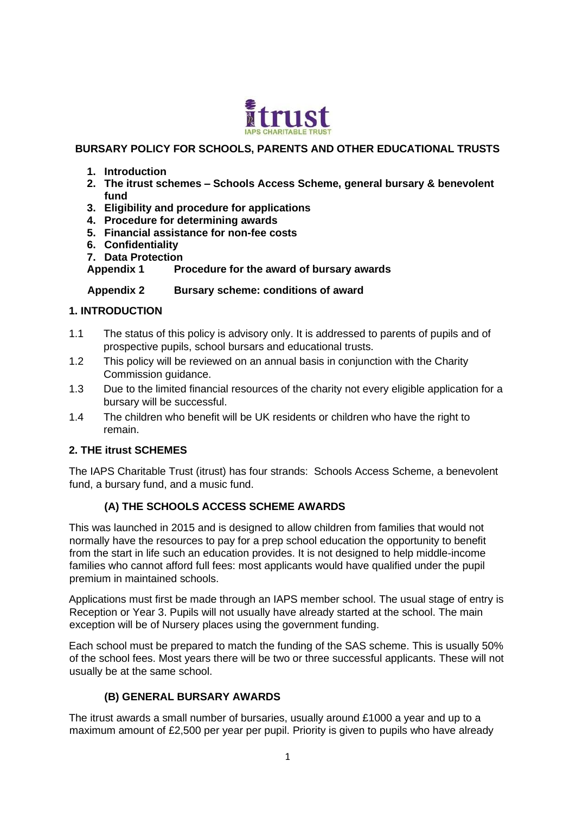

#### **BURSARY POLICY FOR SCHOOLS, PARENTS AND OTHER EDUCATIONAL TRUSTS**

- **1. Introduction**
- **2. The itrust schemes – Schools Access Scheme, general bursary & benevolent fund**
- **3. Eligibility and procedure for applications**
- **4. Procedure for determining awards**
- **5. Financial assistance for non-fee costs**
- **6. Confidentiality**
- **7. Data Protection**

**Appendix 1 Procedure for the award of bursary awards**

 **Appendix 2 Bursary scheme: conditions of award** 

#### **1. INTRODUCTION**

- 1.1 The status of this policy is advisory only. It is addressed to parents of pupils and of prospective pupils, school bursars and educational trusts.
- 1.2 This policy will be reviewed on an annual basis in conjunction with the Charity Commission guidance.
- 1.3 Due to the limited financial resources of the charity not every eligible application for a bursary will be successful.
- 1.4 The children who benefit will be UK residents or children who have the right to remain.

## **2. THE itrust SCHEMES**

The IAPS Charitable Trust (itrust) has four strands: Schools Access Scheme, a benevolent fund, a bursary fund, and a music fund.

## **(A) THE SCHOOLS ACCESS SCHEME AWARDS**

This was launched in 2015 and is designed to allow children from families that would not normally have the resources to pay for a prep school education the opportunity to benefit from the start in life such an education provides. It is not designed to help middle-income families who cannot afford full fees: most applicants would have qualified under the pupil premium in maintained schools.

Applications must first be made through an IAPS member school. The usual stage of entry is Reception or Year 3. Pupils will not usually have already started at the school. The main exception will be of Nursery places using the government funding.

Each school must be prepared to match the funding of the SAS scheme. This is usually 50% of the school fees. Most years there will be two or three successful applicants. These will not usually be at the same school.

## **(B) GENERAL BURSARY AWARDS**

The itrust awards a small number of bursaries, usually around £1000 a year and up to a maximum amount of £2,500 per year per pupil. Priority is given to pupils who have already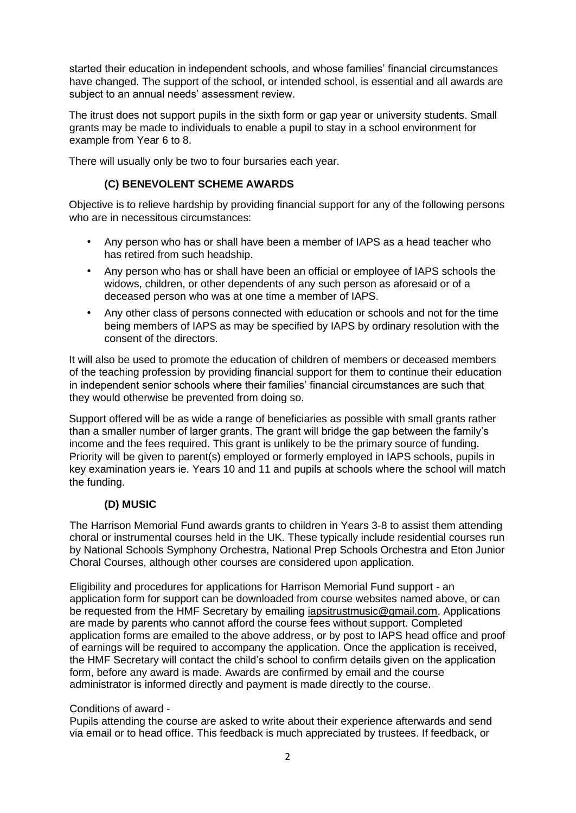started their education in independent schools, and whose families' financial circumstances have changed. The support of the school, or intended school, is essential and all awards are subject to an annual needs' assessment review.

The itrust does not support pupils in the sixth form or gap year or university students. Small grants may be made to individuals to enable a pupil to stay in a school environment for example from Year 6 to 8.

There will usually only be two to four bursaries each year.

## **(C) BENEVOLENT SCHEME AWARDS**

Objective is to relieve hardship by providing financial support for any of the following persons who are in necessitous circumstances:

- Any person who has or shall have been a member of IAPS as a head teacher who has retired from such headship.
- Any person who has or shall have been an official or employee of IAPS schools the widows, children, or other dependents of any such person as aforesaid or of a deceased person who was at one time a member of IAPS.
- Any other class of persons connected with education or schools and not for the time being members of IAPS as may be specified by IAPS by ordinary resolution with the consent of the directors.

It will also be used to promote the education of children of members or deceased members of the teaching profession by providing financial support for them to continue their education in independent senior schools where their families' financial circumstances are such that they would otherwise be prevented from doing so.

Support offered will be as wide a range of beneficiaries as possible with small grants rather than a smaller number of larger grants. The grant will bridge the gap between the family's income and the fees required. This grant is unlikely to be the primary source of funding. Priority will be given to parent(s) employed or formerly employed in IAPS schools, pupils in key examination years ie. Years 10 and 11 and pupils at schools where the school will match the funding.

## **(D) MUSIC**

The Harrison Memorial Fund awards grants to children in Years 3-8 to assist them attending choral or instrumental courses held in the UK. These typically include residential courses run by National Schools Symphony Orchestra, National Prep Schools Orchestra and Eton Junior Choral Courses, although other courses are considered upon application.

Eligibility and procedures for applications for Harrison Memorial Fund support - an application form for support can be downloaded from course websites named above, or can be requested from the HMF Secretary by emailing [iapsitrustmusic@gmail.com.](mailto:iapsitrustmusic@gmail.com) Applications are made by parents who cannot afford the course fees without support. Completed application forms are emailed to the above address, or by post to IAPS head office and proof of earnings will be required to accompany the application. Once the application is received, the HMF Secretary will contact the child's school to confirm details given on the application form, before any award is made. Awards are confirmed by email and the course administrator is informed directly and payment is made directly to the course.

## Conditions of award -

Pupils attending the course are asked to write about their experience afterwards and send via email or to head office. This feedback is much appreciated by trustees. If feedback, or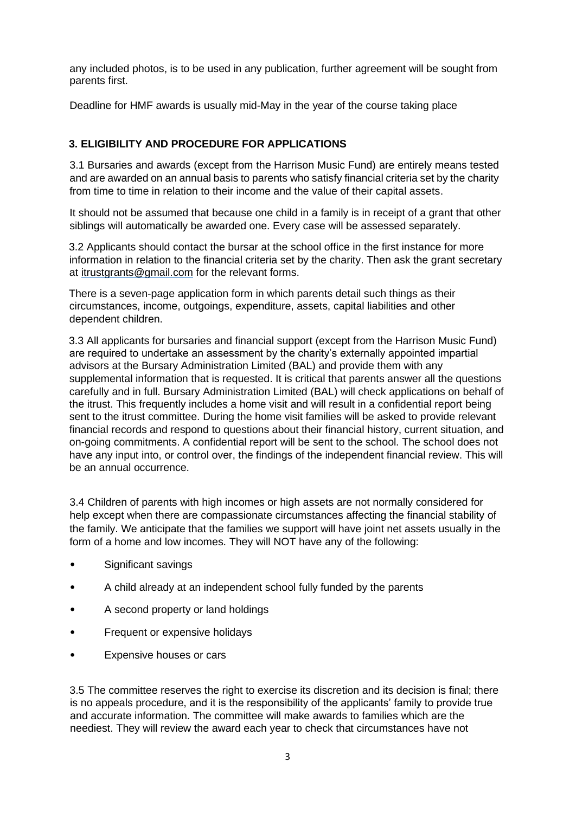any included photos, is to be used in any publication, further agreement will be sought from parents first.

Deadline for HMF awards is usually mid-May in the year of the course taking place

#### **3. ELIGIBILITY AND PROCEDURE FOR APPLICATIONS**

3.1 Bursaries and awards (except from the Harrison Music Fund) are entirely means tested and are awarded on an annual basis to parents who satisfy financial criteria set by the charity from time to time in relation to their income and the value of their capital assets.

It should not be assumed that because one child in a family is in receipt of a grant that other siblings will automatically be awarded one. Every case will be assessed separately.

3.2 Applicants should contact the bursar at the school office in the first instance for more information in relation to the financial criteria set by the charity. Then ask the grant secretary at itrustgrants@gmail.com for the relevant forms.

There is a seven-page application form in which parents detail such things as their circumstances, income, outgoings, expenditure, assets, capital liabilities and other dependent children.

3.3 All applicants for bursaries and financial support (except from the Harrison Music Fund) are required to undertake an assessment by the charity's externally appointed impartial advisors at the Bursary Administration Limited (BAL) and provide them with any supplemental information that is requested. It is critical that parents answer all the questions carefully and in full. Bursary Administration Limited (BAL) will check applications on behalf of the itrust. This frequently includes a home visit and will result in a confidential report being sent to the itrust committee. During the home visit families will be asked to provide relevant financial records and respond to questions about their financial history, current situation, and on-going commitments. A confidential report will be sent to the school. The school does not have any input into, or control over, the findings of the independent financial review. This will be an annual occurrence.

3.4 Children of parents with high incomes or high assets are not normally considered for help except when there are compassionate circumstances affecting the financial stability of the family. We anticipate that the families we support will have joint net assets usually in the form of a home and low incomes. They will NOT have any of the following:

- Significant savings
- A child already at an independent school fully funded by the parents
- A second property or land holdings
- Frequent or expensive holidays
- Expensive houses or cars

3.5 The committee reserves the right to exercise its discretion and its decision is final; there is no appeals procedure, and it is the responsibility of the applicants' family to provide true and accurate information. The committee will make awards to families which are the neediest. They will review the award each year to check that circumstances have not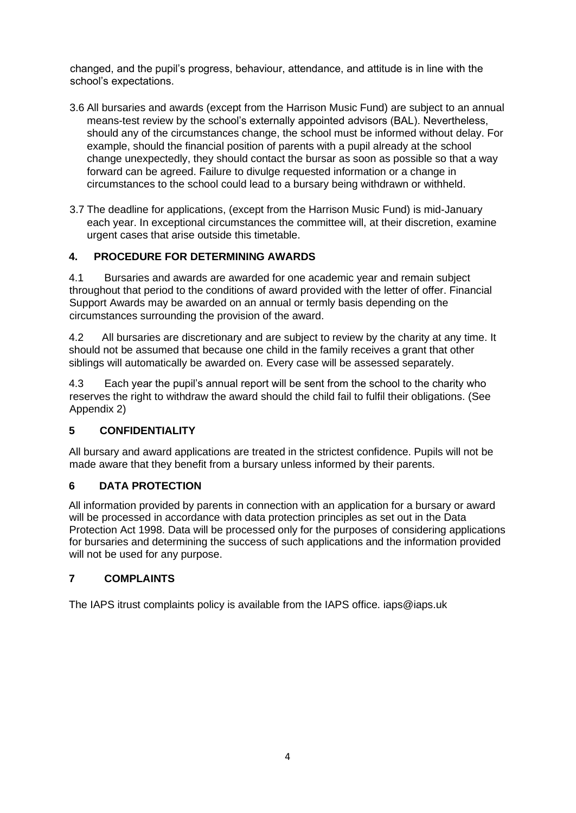changed, and the pupil's progress, behaviour, attendance, and attitude is in line with the school's expectations.

- 3.6 All bursaries and awards (except from the Harrison Music Fund) are subject to an annual means-test review by the school's externally appointed advisors (BAL). Nevertheless, should any of the circumstances change, the school must be informed without delay. For example, should the financial position of parents with a pupil already at the school change unexpectedly, they should contact the bursar as soon as possible so that a way forward can be agreed. Failure to divulge requested information or a change in circumstances to the school could lead to a bursary being withdrawn or withheld.
- 3.7 The deadline for applications, (except from the Harrison Music Fund) is mid-January each year. In exceptional circumstances the committee will, at their discretion, examine urgent cases that arise outside this timetable.

#### **4. PROCEDURE FOR DETERMINING AWARDS**

4.1 Bursaries and awards are awarded for one academic year and remain subject throughout that period to the conditions of award provided with the letter of offer. Financial Support Awards may be awarded on an annual or termly basis depending on the circumstances surrounding the provision of the award.

4.2 All bursaries are discretionary and are subject to review by the charity at any time. It should not be assumed that because one child in the family receives a grant that other siblings will automatically be awarded on. Every case will be assessed separately.

4.3 Each year the pupil's annual report will be sent from the school to the charity who reserves the right to withdraw the award should the child fail to fulfil their obligations. (See Appendix 2)

## **5 CONFIDENTIALITY**

All bursary and award applications are treated in the strictest confidence. Pupils will not be made aware that they benefit from a bursary unless informed by their parents.

#### **6 DATA PROTECTION**

All information provided by parents in connection with an application for a bursary or award will be processed in accordance with data protection principles as set out in the Data Protection Act 1998. Data will be processed only for the purposes of considering applications for bursaries and determining the success of such applications and the information provided will not be used for any purpose.

## **7 COMPLAINTS**

The IAPS itrust complaints policy is available from the IAPS office. iaps@iaps.uk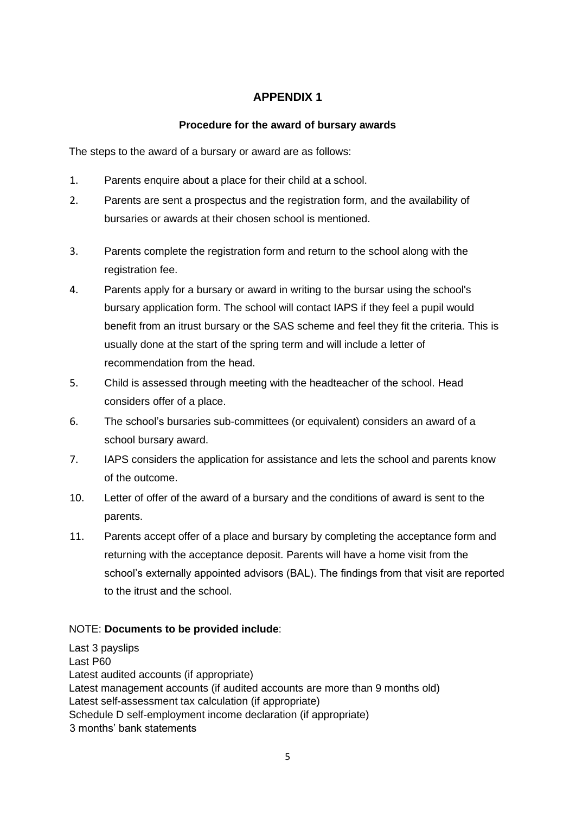# **APPENDIX 1**

## **Procedure for the award of bursary awards**

The steps to the award of a bursary or award are as follows:

- 1. Parents enquire about a place for their child at a school.
- 2. Parents are sent a prospectus and the registration form, and the availability of bursaries or awards at their chosen school is mentioned.
- 3. Parents complete the registration form and return to the school along with the registration fee.
- 4. Parents apply for a bursary or award in writing to the bursar using the school's bursary application form. The school will contact IAPS if they feel a pupil would benefit from an itrust bursary or the SAS scheme and feel they fit the criteria. This is usually done at the start of the spring term and will include a letter of recommendation from the head.
- 5. Child is assessed through meeting with the headteacher of the school. Head considers offer of a place.
- 6. The school's bursaries sub-committees (or equivalent) considers an award of a school bursary award.
- 7. IAPS considers the application for assistance and lets the school and parents know of the outcome.
- 10. Letter of offer of the award of a bursary and the conditions of award is sent to the parents.
- 11. Parents accept offer of a place and bursary by completing the acceptance form and returning with the acceptance deposit. Parents will have a home visit from the school's externally appointed advisors (BAL). The findings from that visit are reported to the itrust and the school.

## NOTE: **Documents to be provided include**:

Last 3 payslips Last P60 Latest audited accounts (if appropriate) Latest management accounts (if audited accounts are more than 9 months old) Latest self-assessment tax calculation (if appropriate) Schedule D self-employment income declaration (if appropriate) 3 months' bank statements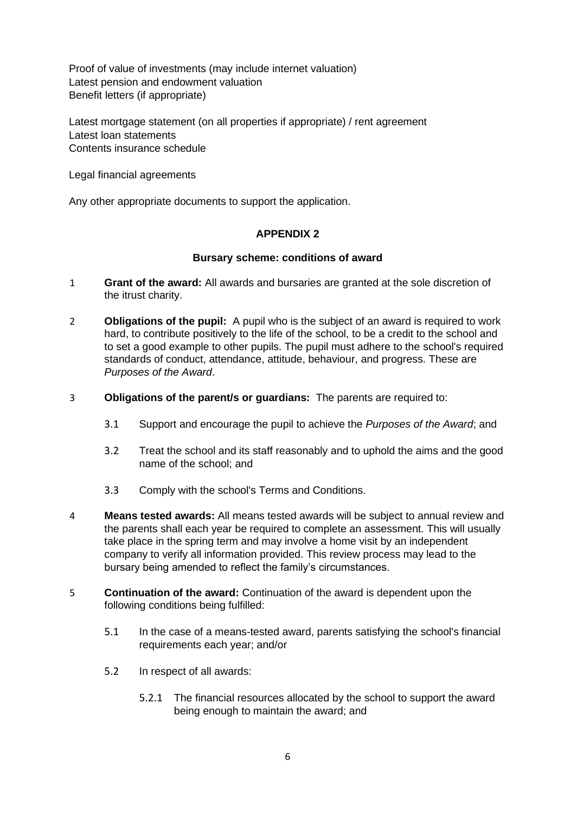Proof of value of investments (may include internet valuation) Latest pension and endowment valuation Benefit letters (if appropriate)

Latest mortgage statement (on all properties if appropriate) / rent agreement Latest loan statements Contents insurance schedule

Legal financial agreements

Any other appropriate documents to support the application.

#### **APPENDIX 2**

#### **Bursary scheme: conditions of award**

- 1 **Grant of the award:** All awards and bursaries are granted at the sole discretion of the itrust charity.
- 2 **Obligations of the pupil:**A pupil who is the subject of an award is required to work hard, to contribute positively to the life of the school, to be a credit to the school and to set a good example to other pupils. The pupil must adhere to the school's required standards of conduct, attendance, attitude, behaviour, and progress. These are *Purposes of the Award*.
- 3 **Obligations of the parent/s or guardians:** The parents are required to:
	- 3.1 Support and encourage the pupil to achieve the *Purposes of the Award*; and
	- 3.2 Treat the school and its staff reasonably and to uphold the aims and the good name of the school; and
	- 3.3 Comply with the school's Terms and Conditions.
- 4 **Means tested awards:** All means tested awards will be subject to annual review and the parents shall each year be required to complete an assessment. This will usually take place in the spring term and may involve a home visit by an independent company to verify all information provided. This review process may lead to the bursary being amended to reflect the family's circumstances.
- 5 **Continuation of the award:** Continuation of the award is dependent upon the following conditions being fulfilled:
	- 5.1 In the case of a means-tested award, parents satisfying the school's financial requirements each year; and/or
	- 5.2 In respect of all awards:
		- 5.2.1 The financial resources allocated by the school to support the award being enough to maintain the award; and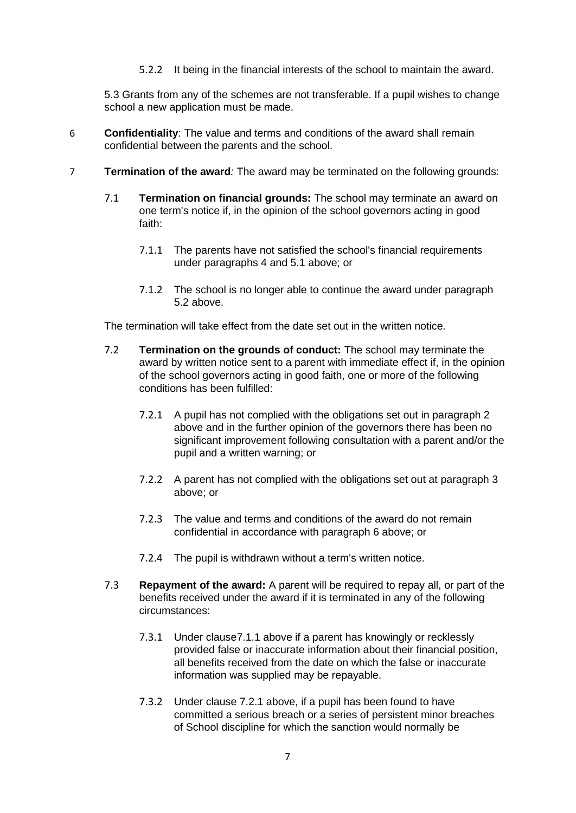5.2.2 It being in the financial interests of the school to maintain the award.

5.3 Grants from any of the schemes are not transferable. If a pupil wishes to change school a new application must be made.

- 6 **Confidentiality**: The value and terms and conditions of the award shall remain confidential between the parents and the school.
- 7 **Termination of the award***:* The award may be terminated on the following grounds:
	- 7.1 **Termination on financial grounds:** The school may terminate an award on one term's notice if, in the opinion of the school governors acting in good faith:
		- 7.1.1 The parents have not satisfied the school's financial requirements under paragraphs 4 and 5.1 above; or
		- 7.1.2 The school is no longer able to continue the award under paragraph 5.2 above.

The termination will take effect from the date set out in the written notice.

- 7.2 **Termination on the grounds of conduct:** The school may terminate the award by written notice sent to a parent with immediate effect if, in the opinion of the school governors acting in good faith, one or more of the following conditions has been fulfilled:
	- 7.2.1 A pupil has not complied with the obligations set out in paragraph 2 above and in the further opinion of the governors there has been no significant improvement following consultation with a parent and/or the pupil and a written warning; or
	- 7.2.2 A parent has not complied with the obligations set out at paragraph 3 above; or
	- 7.2.3 The value and terms and conditions of the award do not remain confidential in accordance with paragraph 6 above; or
	- 7.2.4 The pupil is withdrawn without a term's written notice.
- 7.3 **Repayment of the award:** A parent will be required to repay all, or part of the benefits received under the award if it is terminated in any of the following circumstances:
	- 7.3.1 Under clause7.1.1 above if a parent has knowingly or recklessly provided false or inaccurate information about their financial position, all benefits received from the date on which the false or inaccurate information was supplied may be repayable.
	- 7.3.2 Under clause 7.2.1 above, if a pupil has been found to have committed a serious breach or a series of persistent minor breaches of School discipline for which the sanction would normally be